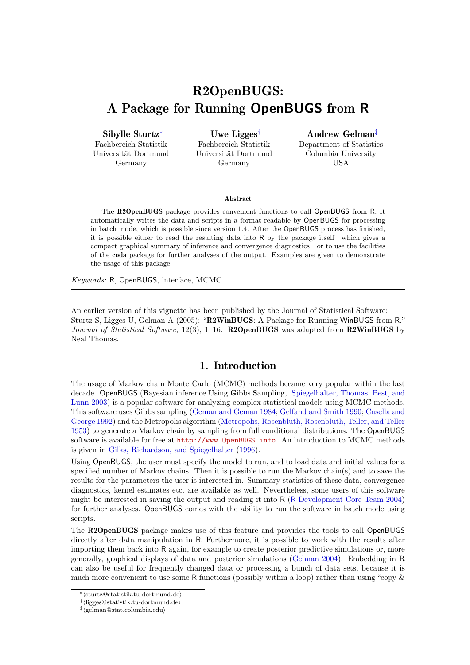# R2OpenBUGS: A Package for Running OpenBUGS from R

Sibylle Sturtz<sup>∗</sup>

Fachbereich Statistik Universität Dortmund Germany

Uwe Ligges† Fachbereich Statistik Universität Dortmund Germany

#### Andrew Gelman‡

Department of Statistics Columbia University USA

#### Abstract

The R2OpenBUGS package provides convenient functions to call OpenBUGS from R. It automatically writes the data and scripts in a format readable by OpenBUGS for processing in batch mode, which is possible since version 1.4. After the OpenBUGS process has finished, it is possible either to read the resulting data into R by the package itself—which gives a compact graphical summary of inference and convergence diagnostics—or to use the facilities of the coda package for further analyses of the output. Examples are given to demonstrate the usage of this package.

*Keywords*: R, OpenBUGS, interface, MCMC.

An earlier version of this vignette has been published by the Journal of Statistical Software: Sturtz S, Ligges U, Gelman A (2005): "R2WinBUGS: A Package for Running WinBUGS from R." *Journal of Statistical Software*, 12(3), 1–16. R2OpenBUGS was adapted from R2WinBUGS by Neal Thomas.

### 1. Introduction

<span id="page-0-0"></span>The usage of Markov chain Monte Carlo (MCMC) methods became very popular within the last decade. OpenBUGS (Bayesian inference Using Gibbs Sampling, [Spiegelhalter, Thomas, Best, and](#page-10-0) [Lunn 2003\)](#page-10-0) is a popular software for analyzing complex statistical models using MCMC methods. This software uses Gibbs sampling [\(Geman and Geman 1984;](#page-9-0) [Gelfand and Smith 1990;](#page-9-1) [Casella and](#page-9-2) [George 1992\)](#page-9-2) and the Metropolis algorithm [\(Metropolis, Rosenbluth, Rosenbluth, Teller, and Teller](#page-10-1) [1953\)](#page-10-1) to generate a Markov chain by sampling from full conditional distributions. The OpenBUGS software is available for free at <http://www.OpenBUGS.info>. An introduction to MCMC methods is given in [Gilks, Richardson, and Spiegelhalter](#page-10-2) [\(1996\)](#page-10-2).

Using OpenBUGS, the user must specify the model to run, and to load data and initial values for a specified number of Markov chains. Then it is possible to run the Markov chain(s) and to save the results for the parameters the user is interested in. Summary statistics of these data, convergence diagnostics, kernel estimates etc. are available as well. Nevertheless, some users of this software might be interested in saving the output and reading it into R (R [Development Core Team 2004\)](#page-10-3) for further analyses. OpenBUGS comes with the ability to run the software in batch mode using scripts.

The R2OpenBUGS package makes use of this feature and provides the tools to call OpenBUGS directly after data manipulation in R. Furthermore, it is possible to work with the results after importing them back into R again, for example to create posterior predictive simulations or, more generally, graphical displays of data and posterior simulations [\(Gelman 2004\)](#page-9-3). Embedding in R can also be useful for frequently changed data or processing a bunch of data sets, because it is much more convenient to use some R functions (possibly within a loop) rather than using "copy &

<sup>∗</sup>hsturtz@statistik.tu-dortmund.dei

<sup>†</sup> hligges@statistik.tu-dortmund.dei

<sup>‡</sup> hgelman@stat.columbia.edui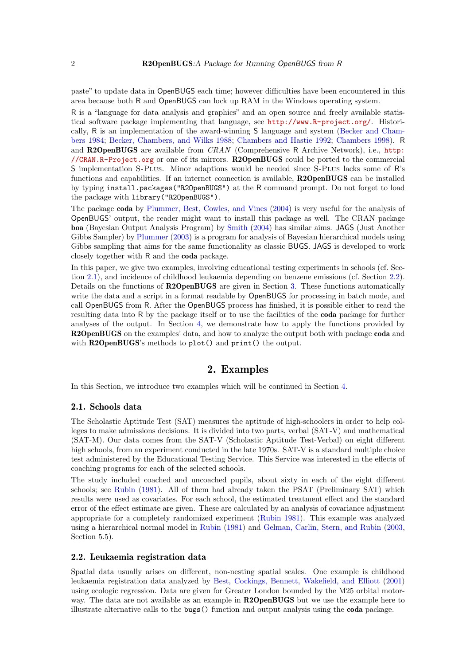paste" to update data in OpenBUGS each time; however difficulties have been encountered in this area because both R and OpenBUGS can lock up RAM in the Windows operating system.

R is a "language for data analysis and graphics" and an open source and freely available statistical software package implementing that language, see <http://www.R-project.org/>. Historically, R is an implementation of the award-winning S language and system [\(Becker and Cham](#page-9-4)[bers 1984;](#page-9-4) [Becker, Chambers, and Wilks 1988;](#page-9-5) [Chambers and Hastie 1992;](#page-9-6) [Chambers 1998\)](#page-9-7). R and R2OpenBUGS are available from *CRAN* (Comprehensive R Archive Network), i.e., [http:](http://CRAN.R-Project.org) [//CRAN.R-Project.org](http://CRAN.R-Project.org) or one of its mirrors. R2OpenBUGS could be ported to the commercial S implementation S-Plus. Minor adaptions would be needed since S-Plus lacks some of R's functions and capabilities. If an internet connection is available, R2OpenBUGS can be installed by typing install.packages("R2OpenBUGS") at the R command prompt. Do not forget to load the package with library("R2OpenBUGS").

The package coda by [Plummer, Best, Cowles, and Vines](#page-10-4) [\(2004\)](#page-10-4) is very useful for the analysis of OpenBUGS' output, the reader might want to install this package as well. The CRAN package boa (Bayesian Output Analysis Program) by [Smith](#page-10-5) [\(2004\)](#page-10-5) has similar aims. JAGS (Just Another Gibbs Sampler) by [Plummer](#page-10-6) [\(2003\)](#page-10-6) is a program for analysis of Bayesian hierarchical models using Gibbs sampling that aims for the same functionality as classic BUGS. JAGS is developed to work closely together with R and the coda package.

In this paper, we give two examples, involving educational testing experiments in schools (cf. Section [2.1\)](#page-1-0), and incidence of childhood leukaemia depending on benzene emissions (cf. Section [2.2\)](#page-1-1). Details on the functions of R2OpenBUGS are given in Section [3.](#page-3-0) These functions automatically write the data and a script in a format readable by OpenBUGS for processing in batch mode, and call OpenBUGS from R. After the OpenBUGS process has finished, it is possible either to read the resulting data into R by the package itself or to use the facilities of the coda package for further analyses of the output. In Section [4,](#page-5-0) we demonstrate how to apply the functions provided by R2OpenBUGS on the examples' data, and how to analyze the output both with package coda and with **R2OpenBUGS**'s methods to plot() and print() the output.

### 2. Examples

In this Section, we introduce two examples which will be continued in Section [4.](#page-5-0)

#### <span id="page-1-0"></span>2.1. Schools data

The Scholastic Aptitude Test (SAT) measures the aptitude of high-schoolers in order to help colleges to make admissions decisions. It is divided into two parts, verbal (SAT-V) and mathematical (SAT-M). Our data comes from the SAT-V (Scholastic Aptitude Test-Verbal) on eight different high schools, from an experiment conducted in the late 1970s. SAT-V is a standard multiple choice test administered by the Educational Testing Service. This Service was interested in the effects of coaching programs for each of the selected schools.

The study included coached and uncoached pupils, about sixty in each of the eight different schools; see [Rubin](#page-10-7) [\(1981\)](#page-10-7). All of them had already taken the PSAT (Preliminary SAT) which results were used as covariates. For each school, the estimated treatment effect and the standard error of the effect estimate are given. These are calculated by an analysis of covariance adjustment appropriate for a completely randomized experiment [\(Rubin 1981\)](#page-10-7). This example was analyzed using a hierarchical normal model in [Rubin](#page-10-7) [\(1981\)](#page-10-7) and [Gelman, Carlin, Stern, and Rubin](#page-9-8) [\(2003,](#page-9-8) Section 5.5).

### <span id="page-1-1"></span>2.2. Leukaemia registration data

Spatial data usually arises on different, non-nesting spatial scales. One example is childhood leukaemia registration data analyzed by [Best, Cockings, Bennett, Wakefield, and Elliott](#page-9-9) [\(2001\)](#page-9-9) using ecologic regression. Data are given for Greater London bounded by the M25 orbital motorway. The data are not available as an example in R2OpenBUGS but we use the example here to illustrate alternative calls to the bugs() function and output analysis using the coda package.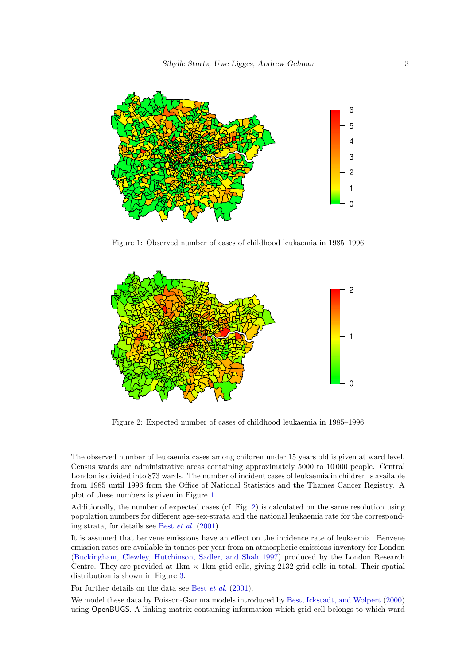

<span id="page-2-0"></span>Figure 1: Observed number of cases of childhood leukaemia in 1985–1996



<span id="page-2-1"></span>Figure 2: Expected number of cases of childhood leukaemia in 1985–1996

The observed number of leukaemia cases among children under 15 years old is given at ward level. Census wards are administrative areas containing approximately 5000 to 10 000 people. Central London is divided into 873 wards. The number of incident cases of leukaemia in children is available from 1985 until 1996 from the Office of National Statistics and the Thames Cancer Registry. A plot of these numbers is given in Figure [1.](#page-2-0)

Additionally, the number of expected cases (cf. Fig. [2\)](#page-2-1) is calculated on the same resolution using population numbers for different age-sex-strata and the national leukaemia rate for the corresponding strata, for details see Best *[et al.](#page-9-9)* [\(2001\)](#page-9-9).

It is assumed that benzene emissions have an effect on the incidence rate of leukaemia. Benzene emission rates are available in tonnes per year from an atmospheric emissions inventory for London [\(Buckingham, Clewley, Hutchinson, Sadler, and Shah 1997\)](#page-9-10) produced by the London Research Centre. They are provided at  $1 \text{km} \times 1 \text{km}$  grid cells, giving 2132 grid cells in total. Their spatial distribution is shown in Figure [3.](#page-3-1)

For further details on the data see Best *[et al.](#page-9-9)* [\(2001\)](#page-9-9).

We model these data by Poisson-Gamma models introduced by [Best, Ickstadt, and Wolpert](#page-9-11) [\(2000\)](#page-9-11) using OpenBUGS. A linking matrix containing information which grid cell belongs to which ward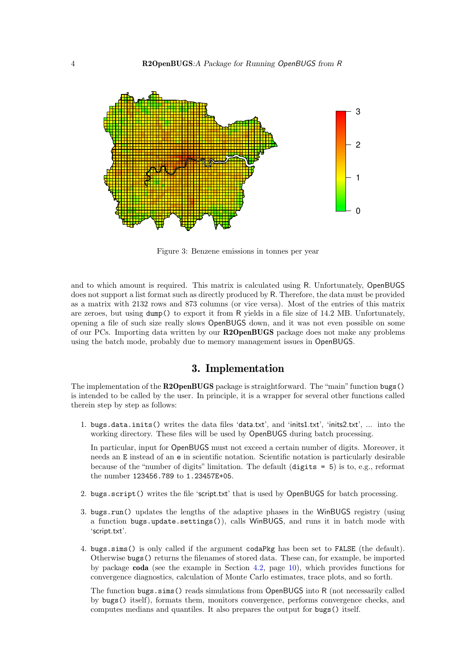

<span id="page-3-1"></span>Figure 3: Benzene emissions in tonnes per year

and to which amount is required. This matrix is calculated using R. Unfortunately, OpenBUGS does not support a list format such as directly produced by R. Therefore, the data must be provided as a matrix with 2132 rows and 873 columns (or vice versa). Most of the entries of this matrix are zeroes, but using dump() to export it from R yields in a file size of 14.2 MB. Unfortunately, opening a file of such size really slows OpenBUGS down, and it was not even possible on some of our PCs. Importing data written by our R2OpenBUGS package does not make any problems using the batch mode, probably due to memory management issues in OpenBUGS.

### 3. Implementation

<span id="page-3-0"></span>The implementation of the R2OpenBUGS package is straightforward. The "main" function bugs() is intended to be called by the user. In principle, it is a wrapper for several other functions called therein step by step as follows:

1. bugs.data.inits() writes the data files 'data.txt', and 'inits1.txt', 'inits2.txt', ... into the working directory. These files will be used by OpenBUGS during batch processing.

In particular, input for OpenBUGS must not exceed a certain number of digits. Moreover, it needs an E instead of an e in scientific notation. Scientific notation is particularly desirable because of the "number of digits" limitation. The default (digits = 5) is to, e.g., reformat the number 123456.789 to 1.23457E+05.

- 2. bugs.script() writes the file 'script.txt' that is used by OpenBUGS for batch processing.
- 3. bugs.run() updates the lengths of the adaptive phases in the WinBUGS registry (using a function bugs.update.settings()), calls WinBUGS, and runs it in batch mode with 'script.txt'.
- 4. bugs.sims() is only called if the argument codaPkg has been set to FALSE (the default). Otherwise bugs() returns the filenames of stored data. These can, for example, be imported by package coda (see the example in Section [4.2,](#page-6-0) page [10\)](#page-6-0), which provides functions for convergence diagnostics, calculation of Monte Carlo estimates, trace plots, and so forth.

The function bugs.sims() reads simulations from OpenBUGS into R (not necessarily called by bugs() itself), formats them, monitors convergence, performs convergence checks, and computes medians and quantiles. It also prepares the output for bugs() itself.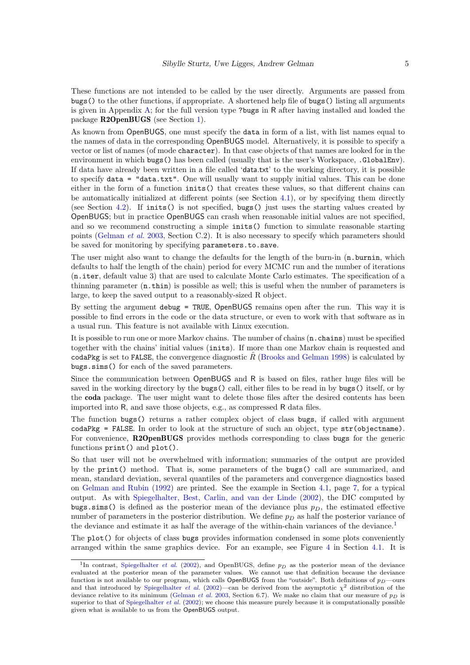These functions are not intended to be called by the user directly. Arguments are passed from bugs() to the other functions, if appropriate. A shortened help file of bugs() listing all arguments is given in Appendix [A;](#page-11-0) for the full version type ?bugs in R after having installed and loaded the package R2OpenBUGS (see Section [1\)](#page-0-0).

As known from OpenBUGS, one must specify the data in form of a list, with list names equal to the names of data in the corresponding OpenBUGS model. Alternatively, it is possible to specify a vector or list of names (of mode character). In that case objects of that names are looked for in the environment in which bugs() has been called (usually that is the user's Workspace, .GlobalEnv). If data have already been written in a file called 'data.txt' to the working directory, it is possible to specify  $data = "data.txt"$ . One will usually want to supply initial values. This can be done either in the form of a function inits() that creates these values, so that different chains can be automatically initialized at different points (see Section [4.1\)](#page-5-1), or by specifying them directly (see Section [4.2\)](#page-6-0). If inits() is not specified, bugs() just uses the starting values created by OpenBUGS; but in practice OpenBUGS can crash when reasonable initial values are not specified, and so we recommend constructing a simple inits() function to simulate reasonable starting points [\(Gelman](#page-9-8) *et al.* [2003,](#page-9-8) Section C.2). It is also necessary to specify which parameters should be saved for monitoring by specifying parameters.to.save.

The user might also want to change the defaults for the length of the burn-in  $(n \cdot \text{burnin})$ , which defaults to half the length of the chain) period for every MCMC run and the number of iterations (n.iter, default value 3) that are used to calculate Monte Carlo estimates. The specification of a thinning parameter (n.thin) is possible as well; this is useful when the number of parameters is large, to keep the saved output to a reasonably-sized R object.

By setting the argument debug = TRUE, OpenBUGS remains open after the run. This way it is possible to find errors in the code or the data structure, or even to work with that software as in a usual run. This feature is not available with Linux execution.

It is possible to run one or more Markov chains. The number of chains (n.chains) must be specified together with the chains' initial values (inits). If more than one Markov chain is requested and codaPkg is set to FALSE, the convergence diagnostic  $\hat{R}$  [\(Brooks and Gelman 1998\)](#page-9-12) is calculated by bugs.sims() for each of the saved parameters.

Since the communication between OpenBUGS and R is based on files, rather huge files will be saved in the working directory by the bugs() call, either files to be read in by bugs() itself, or by the coda package. The user might want to delete those files after the desired contents has been imported into R, and save those objects, e.g., as compressed R data files.

The function bugs() returns a rather complex object of class bugs, if called with argument  $codaPkg = FALSE$ . In order to look at the structure of such an object, type  $str(objectname)$ . For convenience, R2OpenBUGS provides methods corresponding to class bugs for the generic functions print() and plot().

So that user will not be overwhelmed with information; summaries of the output are provided by the print() method. That is, some parameters of the bugs() call are summarized, and mean, standard deviation, several quantiles of the parameters and convergence diagnostics based on [Gelman and Rubin](#page-9-13) [\(1992\)](#page-9-13) are printed. See the example in Section [4.1,](#page-5-1) page [7,](#page-5-1) for a typical output. As with [Spiegelhalter, Best, Carlin, and van der Linde](#page-10-8) [\(2002\)](#page-10-8), the DIC computed by bugs.sims() is defined as the posterior mean of the deviance plus  $p<sub>D</sub>$ , the estimated effective number of parameters in the posterior distribution. We define  $p<sub>D</sub>$  as half the posterior variance of the deviance and estimate it as half the average of the within-chain variances of the deviance.[1](#page-4-0)

The plot() for objects of class bugs provides information condensed in some plots conveniently arranged within the same graphics device. For an example, see Figure [4](#page-7-0) in Section [4.1.](#page-5-1) It is

<span id="page-4-0"></span><sup>&</sup>lt;sup>1</sup>In contrast, [Spiegelhalter](#page-10-8) *et al.* [\(2002\)](#page-10-8), and OpenBUGS, define  $p<sub>D</sub>$  as the posterior mean of the deviance evaluated at the posterior mean of the parameter values. We cannot use that definition because the deviance function is not available to our program, which calls OpenBUGS from the "outside". Both definitions of  $p_D$ —ours and that introduced by [Spiegelhalter](#page-10-8) et al. [\(2002\)](#page-10-8)—can be derived from the asymptotic  $\chi^2$  distribution of the deviance relative to its minimum [\(Gelman](#page-9-8) et al. [2003,](#page-9-8) Section 6.7). We make no claim that our measure of  $p<sub>D</sub>$  is superior to that of [Spiegelhalter](#page-10-8) *et al.* [\(2002\)](#page-10-8); we choose this measure purely because it is computationally possible given what is available to us from the OpenBUGS output.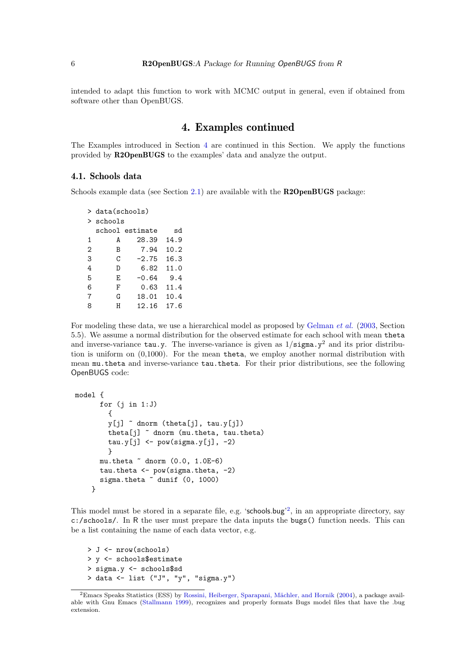intended to adapt this function to work with MCMC output in general, even if obtained from software other than OpenBUGS.

### 4. Examples continued

<span id="page-5-0"></span>The Examples introduced in Section [4](#page-5-0) are continued in this Section. We apply the functions provided by R2OpenBUGS to the examples' data and analyze the output.

#### <span id="page-5-1"></span>4.1. Schools data

Schools example data (see Section [2.1\)](#page-1-0) are available with the R2OpenBUGS package:

```
> data(schools)
> schools
 school estimate sd
1 A 28.39 14.9
2 B 7.94 10.2
3 C -2.75 16.3
4 D 6.82 11.0
5 E -0.64 9.4
6 F 0.63 11.4
7 G 18.01 10.4
8 H 12.16 17.6
```
For modeling these data, we use a hierarchical model as proposed by [Gelman](#page-9-8) *et al.* [\(2003,](#page-9-8) Section 5.5). We assume a normal distribution for the observed estimate for each school with mean theta and inverse-variance tau.y. The inverse-variance is given as  $1/\text{sigma}.y^2$  and its prior distribution is uniform on (0,1000). For the mean theta, we employ another normal distribution with mean mu.theta and inverse-variance tau.theta. For their prior distributions, see the following OpenBUGS code:

```
model {
      for (j in 1:J){
        y[j] ~ dnorm (theta[j], tau.y[j])
        theta[j] ~ dnorm (mu.theta, tau.theta)
        tau.y[j] <- pow(sigma.y[j], -2)
        }
      mu.theta ~ dnorm (0.0, 1.0E-6)
      tau.theta <- pow(sigma.theta, -2)
      sigma.theta ~ dunif (0, 1000)
    }
```
This model must be stored in a separate file, e.g. 'schools.bug'<sup>[2](#page-5-2)</sup>, in an appropriate directory, say c:/schools/. In R the user must prepare the data inputs the bugs() function needs. This can be a list containing the name of each data vector, e.g.

```
> J <- nrow(schools)
> y <- schools$estimate
> sigma.y <- schools$sd
> data <- list ("J", "y", "sigma.y")
```
<span id="page-5-2"></span><sup>&</sup>lt;sup>2</sup>Emacs Speaks Statistics (ESS) by Rossini, Heiberger, Sparapani, Mächler, and Hornik [\(2004\)](#page-10-9), a package available with Gnu Emacs [\(Stallmann 1999\)](#page-10-10), recognizes and properly formats Bugs model files that have the .bug extension.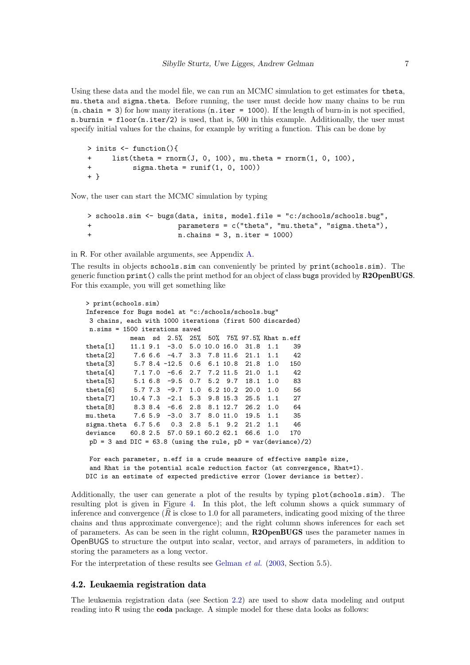Using these data and the model file, we can run an MCMC simulation to get estimates for theta, mu.theta and sigma.theta. Before running, the user must decide how many chains to be run  $(n \cdot \text{chain} = 3)$  for how many iterations  $(n \cdot \text{iter} = 1000)$ . If the length of burn-in is not specified, n.burnin = floor(n.iter/2) is used, that is, 500 in this example. Additionally, the user must specify initial values for the chains, for example by writing a function. This can be done by

```
> inits <- function(){
+ list(theta = rnorm(J, 0, 100), mu.theta = rnorm(1, 0, 100),
+ sigma.theta = runif(1, 0, 100))
+ }
```
Now, the user can start the MCMC simulation by typing

```
> schools.sim <- bugs(data, inits, model.file = "c:/schools/schools.bug",
+ parameters = c("theta", "mu.theta", "sigma.theta"),
+ n.chains = 3, n.iter = 1000)
```
in R. For other available arguments, see Appendix [A.](#page-11-0)

The results in objects schools.sim can conveniently be printed by print(schools.sim). The generic function print() calls the print method for an object of class bugs provided by R2OpenBUGS. For this example, you will get something like

```
> print(schools.sim)
Inference for Bugs model at "c:/schools/schools.bug"
 3 chains, each with 1000 iterations (first 500 discarded)
 n.sims = 1500 iterations saved
          mean sd 2.5% 25% 50% 75% 97.5% Rhat n.eff
theta[1] 11.1 9.1 -3.0 5.0 10.0 16.0 31.8 1.1 39
theta[2] 7.6 6.6 -4.7 3.3 7.8 11.6 21.1 1.1 42
theta[3] 5.7 8.4 -12.5 0.6 6.1 10.8 21.8 1.0 150
theta[4] 7.1 7.0 -6.6 2.7 7.2 11.5 21.0 1.1 42
theta[5] 5.1 6.8 -9.5 0.7 5.2 9.7 18.1 1.0 83
theta[6] 5.7 7.3 -9.7 1.0 6.2 10.2 20.0 1.0 56
theta[7] 10.4 7.3 -2.1 5.3 9.8 15.3 25.5 1.1 27
theta[8] 8.3 8.4 -6.6 2.8 8.1 12.7 26.2 1.0 64
mu.theta 7.6 5.9 -3.0 3.7 8.0 11.0 19.5 1.1 35
sigma.theta 6.7 5.6 0.3 2.8 5.1 9.2 21.2 1.1 46
deviance 60.8 2.5 57.0 59.1 60.2 62.1 66.6 1.0 170
pD = 3 and DIC = 63.8 (using the rule, pD = var(deviance)/2)For each parameter, n.eff is a crude measure of effective sample size,
 and Rhat is the potential scale reduction factor (at convergence, Rhat=1).
DIC is an estimate of expected predictive error (lower deviance is better).
```
Additionally, the user can generate a plot of the results by typing plot(schools.sim). The resulting plot is given in Figure [4.](#page-7-0) In this plot, the left column shows a quick summary of inference and convergence  $(R$  is close to 1.0 for all parameters, indicating good mixing of the three chains and thus approximate convergence); and the right column shows inferences for each set of parameters. As can be seen in the right column, R2OpenBUGS uses the parameter names in OpenBUGS to structure the output into scalar, vector, and arrays of parameters, in addition to storing the parameters as a long vector.

For the interpretation of these results see [Gelman](#page-9-8) *et al.* [\(2003,](#page-9-8) Section 5.5).

#### <span id="page-6-0"></span>4.2. Leukaemia registration data

The leukaemia registration data (see Section [2.2\)](#page-1-1) are used to show data modeling and output reading into R using the coda package. A simple model for these data looks as follows: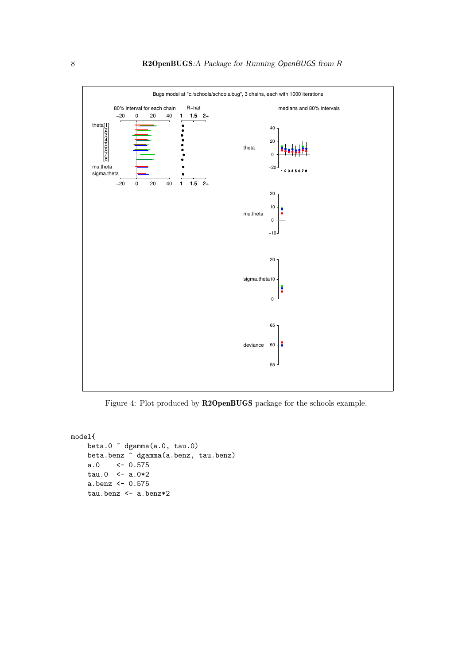

<span id="page-7-0"></span>Figure 4: Plot produced by R2OpenBUGS package for the schools example.

```
model{
   beta.0 ~ dgamma(a.0, tau.0)
   beta.benz ~ dgamma(a.benz, tau.benz)
    a.0 \leftarrow 0.575tau.0 < -a.0*2a.benz <- 0.575
   tau.benz <- a.benz*2
```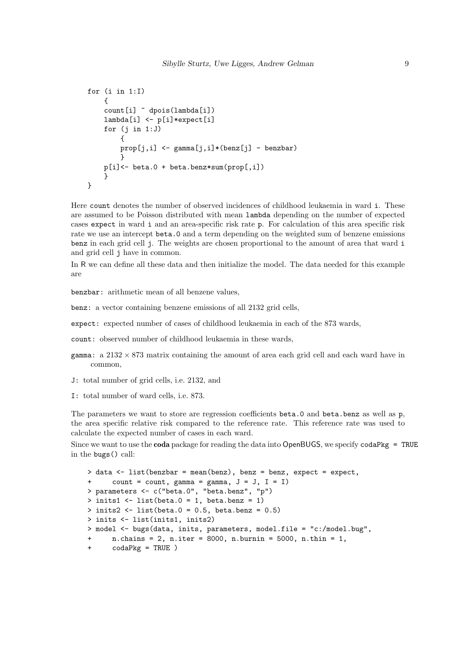```
for (i \text{ in } 1: I){
      count[i] ~ dpois(lambda[i])
      lambda[i] <- p[i]*expect[i]
      for (i in 1:J){
           prop[j,i] <- gamma[j,i]*(benz[j] - benzbar)
            }
     \texttt{p[i]}\texttt{<=} \texttt{beta}.0 \texttt{+} \texttt{beta}.\texttt{benz} \texttt{*sum}(\texttt{prop[,i]})}
}
```
Here count denotes the number of observed incidences of childhood leukaemia in ward i. These are assumed to be Poisson distributed with mean lambda depending on the number of expected cases expect in ward i and an area-specific risk rate p. For calculation of this area specific risk rate we use an intercept beta.0 and a term depending on the weighted sum of benzene emissions benz in each grid cell j. The weights are chosen proportional to the amount of area that ward i and grid cell j have in common.

In R we can define all these data and then initialize the model. The data needed for this example are

benzbar: arithmetic mean of all benzene values,

benz: a vector containing benzene emissions of all 2132 grid cells,

expect: expected number of cases of childhood leukaemia in each of the 873 wards,

count: observed number of childhood leukaemia in these wards,

- gamma: a  $2132 \times 873$  matrix containing the amount of area each grid cell and each ward have in common,
- J: total number of grid cells, i.e. 2132, and
- I: total number of ward cells, i.e. 873.

The parameters we want to store are regression coefficients beta.0 and beta.benz as well as p, the area specific relative risk compared to the reference rate. This reference rate was used to calculate the expected number of cases in each ward.

Since we want to use the **coda** package for reading the data into OpenBUGS, we specify  $\text{codapkg} = \text{TRUE}$ in the bugs() call:

```
> data \le list(benzbar = mean(benz), benz = benz, expect = expect,
+ count = count, gamma = gamma, J = J, I = I)
> parameters <- c("beta.0", "beta.benz", "p")
> inits1 \leftarrow list(beta.0 = 1, beta.benz = 1)
> inits2 <- list(beta.0 = 0.5, beta.benz = 0.5)
> inits <- list(inits1, inits2)
> model <- bugs(data, inits, parameters, model.file = "c:/model.bug",
+ n.chains = 2, n.iter = 8000, n.burnin = 5000, n.thin = 1,
      codaPkg = TRUE)
```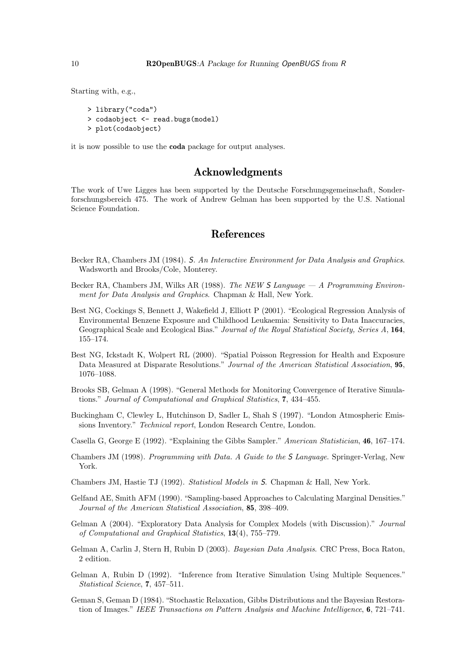Starting with, e.g.,

```
> library("coda")
```
- > codaobject <- read.bugs(model)
- > plot(codaobject)

it is now possible to use the coda package for output analyses.

### Acknowledgments

The work of Uwe Ligges has been supported by the Deutsche Forschungsgemeinschaft, Sonderforschungsbereich 475. The work of Andrew Gelman has been supported by the U.S. National Science Foundation.

### References

- <span id="page-9-4"></span>Becker RA, Chambers JM (1984). S*. An Interactive Environment for Data Analysis and Graphics*. Wadsworth and Brooks/Cole, Monterey.
- <span id="page-9-5"></span>Becker RA, Chambers JM, Wilks AR (1988). *The NEW* S *Language — A Programming Environment for Data Analysis and Graphics*. Chapman & Hall, New York.
- <span id="page-9-9"></span>Best NG, Cockings S, Bennett J, Wakefield J, Elliott P (2001). "Ecological Regression Analysis of Environmental Benzene Exposure and Childhood Leukaemia: Sensitivity to Data Inaccuracies, Geographical Scale and Ecological Bias." *Journal of the Royal Statistical Society, Series A*, 164, 155–174.
- <span id="page-9-11"></span>Best NG, Ickstadt K, Wolpert RL (2000). "Spatial Poisson Regression for Health and Exposure Data Measured at Disparate Resolutions." *Journal of the American Statistical Association*, 95, 1076–1088.
- <span id="page-9-12"></span>Brooks SB, Gelman A (1998). "General Methods for Monitoring Convergence of Iterative Simulations." *Journal of Computational and Graphical Statistics*, 7, 434–455.
- <span id="page-9-10"></span>Buckingham C, Clewley L, Hutchinson D, Sadler L, Shah S (1997). "London Atmospheric Emissions Inventory." *Technical report*, London Research Centre, London.
- <span id="page-9-2"></span>Casella G, George E (1992). "Explaining the Gibbs Sampler." *American Statistician*, 46, 167–174.
- <span id="page-9-7"></span>Chambers JM (1998). *Programming with Data. A Guide to the* S *Language*. Springer-Verlag, New York.
- <span id="page-9-6"></span>Chambers JM, Hastie TJ (1992). *Statistical Models in* S. Chapman & Hall, New York.
- <span id="page-9-1"></span>Gelfand AE, Smith AFM (1990). "Sampling-based Approaches to Calculating Marginal Densities." *Journal of the American Statistical Association*, 85, 398–409.
- <span id="page-9-3"></span>Gelman A (2004). "Exploratory Data Analysis for Complex Models (with Discussion)." *Journal of Computational and Graphical Statistics*, 13(4), 755–779.
- <span id="page-9-8"></span>Gelman A, Carlin J, Stern H, Rubin D (2003). *Bayesian Data Analysis*. CRC Press, Boca Raton, 2 edition.
- <span id="page-9-13"></span>Gelman A, Rubin D (1992). "Inference from Iterative Simulation Using Multiple Sequences." *Statistical Science*, 7, 457–511.
- <span id="page-9-0"></span>Geman S, Geman D (1984). "Stochastic Relaxation, Gibbs Distributions and the Bayesian Restoration of Images." *IEEE Transactions on Pattern Analysis and Machine Intelligence*, 6, 721–741.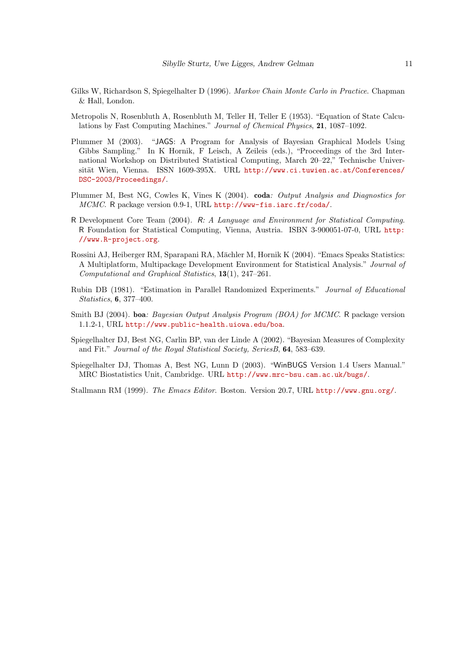- <span id="page-10-2"></span>Gilks W, Richardson S, Spiegelhalter D (1996). *Markov Chain Monte Carlo in Practice*. Chapman & Hall, London.
- <span id="page-10-1"></span>Metropolis N, Rosenbluth A, Rosenbluth M, Teller H, Teller E (1953). "Equation of State Calculations by Fast Computing Machines." *Journal of Chemical Physics*, 21, 1087–1092.
- <span id="page-10-6"></span>Plummer M (2003). "JAGS: A Program for Analysis of Bayesian Graphical Models Using Gibbs Sampling." In K Hornik, F Leisch, A Zeileis (eds.), "Proceedings of the 3rd International Workshop on Distributed Statistical Computing, March 20–22," Technische Universität Wien, Vienna. ISSN 1609-395X. URL [http://www.ci.tuwien.ac.at/Conferences/](http://www.ci.tuwien.ac.at/Conferences/DSC-2003/Proceedings/) [DSC-2003/Proceedings/](http://www.ci.tuwien.ac.at/Conferences/DSC-2003/Proceedings/).
- <span id="page-10-4"></span>Plummer M, Best NG, Cowles K, Vines K (2004). coda*: Output Analysis and Diagnostics for MCMC*. R package version 0.9-1, URL <http://www-fis.iarc.fr/coda/>.
- <span id="page-10-3"></span>R Development Core Team (2004). R*: A Language and Environment for Statistical Computing*. R Foundation for Statistical Computing, Vienna, Austria. ISBN 3-900051-07-0, URL [http:](http://www.R-project.org) [//www.R-project.org](http://www.R-project.org).
- <span id="page-10-9"></span>Rossini AJ, Heiberger RM, Sparapani RA, Mächler M, Hornik K (2004). "Emacs Speaks Statistics: A Multiplatform, Multipackage Development Environment for Statistical Analysis." *Journal of Computational and Graphical Statistics*, 13(1), 247–261.
- <span id="page-10-7"></span>Rubin DB (1981). "Estimation in Parallel Randomized Experiments." *Journal of Educational Statistics*, 6, 377–400.
- <span id="page-10-5"></span>Smith BJ (2004). boa*: Bayesian Output Analysis Program (BOA) for MCMC*. R package version 1.1.2-1, URL <http://www.public-health.uiowa.edu/boa>.
- <span id="page-10-8"></span>Spiegelhalter DJ, Best NG, Carlin BP, van der Linde A (2002). "Bayesian Measures of Complexity and Fit." *Journal of the Royal Statistical Society, SeriesB*, 64, 583–639.
- <span id="page-10-0"></span>Spiegelhalter DJ, Thomas A, Best NG, Lunn D (2003). "WinBUGS Version 1.4 Users Manual." MRC Biostatistics Unit, Cambridge. URL <http://www.mrc-bsu.cam.ac.uk/bugs/>.

<span id="page-10-10"></span>Stallmann RM (1999). *The Emacs Editor*. Boston. Version 20.7, URL <http://www.gnu.org/>.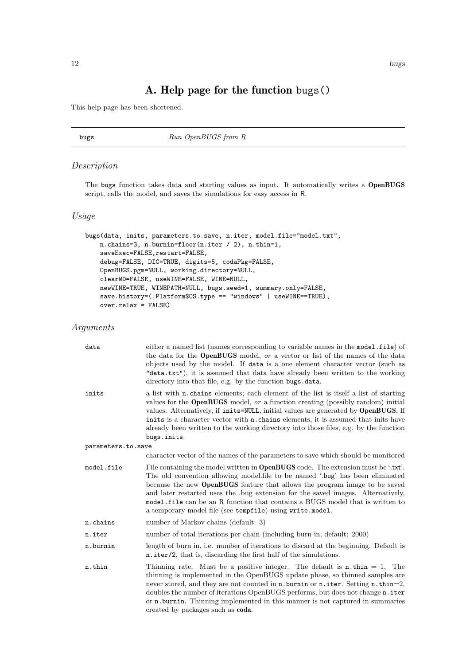## A. Help page for the function bugs()

<span id="page-11-0"></span>This help page has been shortened.

bugs Run OpenBUGS from R

#### Description

The bugs function takes data and starting values as input. It automatically writes a OpenBUGS script, calls the model, and saves the simulations for easy access in R.

### Usage

```
bugs(data, inits, parameters.to.save, n.iter, model.file="model.txt",
   n.chains=3, n.burnin=floor(n.iter / 2), n.thin=1,
    saveExec=FALSE,restart=FALSE,
   debug=FALSE, DIC=TRUE, digits=5, codaPkg=FALSE,
    OpenBUGS.pgm=NULL, working.directory=NULL,
    clearWD=FALSE, useWINE=FALSE, WINE=NULL,
   newWINE=TRUE, WINEPATH=NULL, bugs.seed=1, summary.only=FALSE,
    save.history=(.Platform$0S.type == "windows" | useWINE==TRUE),
   over.relax = FALSE)
```
### Arguments

| data               | either a named list (names corresponding to variable names in the model file) of<br>the data for the <b>OpenBUGS</b> model, or a vector or list of the names of the data<br>objects used by the model. If data is a one element character vector (such as<br>"data.txt"), it is assumed that data have already been written to the working<br>directory into that file, e.g. by the function bugs.data.                                                                                       |
|--------------------|-----------------------------------------------------------------------------------------------------------------------------------------------------------------------------------------------------------------------------------------------------------------------------------------------------------------------------------------------------------------------------------------------------------------------------------------------------------------------------------------------|
| inits              | a list with <b>n</b> .chains elements; each element of the list is itself a list of starting<br>values for the <b>OpenBUGS</b> model, or a function creating (possibly random) initial<br>values. Alternatively, if inits=NULL, initial values are generated by OpenBUGS. If<br>inits is a character vector with <b>n</b> . chains elements, it is assumed that inits have<br>already been written to the working directory into those files, e.g. by the function<br>bugs.inits.             |
| parameters.to.save |                                                                                                                                                                                                                                                                                                                                                                                                                                                                                               |
|                    | character vector of the names of the parameters to save which should be monitored                                                                                                                                                                                                                                                                                                                                                                                                             |
| model.file         | File containing the model written in <b>OpenBUGS</b> code. The extension must be '.txt'.<br>The old convention allowing model file to be named 'bug' has been eliminated<br>because the new <b>OpenBUGS</b> feature that allows the program image to be saved<br>and later restarted uses the bug extension for the saved images. Alternatively,<br>model file can be an R function that contains a BUGS model that is written to<br>a temporary model file (see tempfile) using write.model. |
| n.chains           | number of Markov chains (default: 3)                                                                                                                                                                                                                                                                                                                                                                                                                                                          |
| n.iter             | number of total iterations per chain (including burn in; default: 2000)                                                                                                                                                                                                                                                                                                                                                                                                                       |
| n.burnin           | length of burn in, i.e. number of iterations to discard at the beginning. Default is<br>n.iter/2, that is, discarding the first half of the simulations.                                                                                                                                                                                                                                                                                                                                      |
| n.thin             | Thinning rate. Must be a positive integer. The default is $\textbf{n} \cdot \textbf{thin} = 1$ . The<br>thinning is implemented in the OpenBUGS update phase, so thinned samples are<br>never stored, and they are not counted in n. burnin or n. iter. Setting n. thin=2,<br>doubles the number of iterations OpenBUGS performs, but does not change n. iter<br>or n. burnin. Thinning implemented in this manner is not captured in summaries<br>created by packages such as <b>coda</b> .  |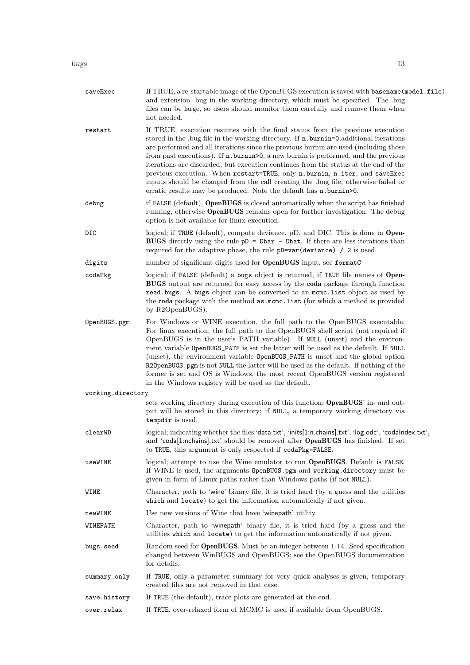bugs the contract of the contract of the contract of the contract of the contract of the contract of the contract of the contract of the contract of the contract of the contract of the contract of the contract of the contr

| saveExec          | If TRUE, a re-startable image of the OpenBUGS execution is saved with basename (model .file)<br>and extension .bug in the working directory, which must be specified. The .bug<br>files can be large, so users should monitor them carefully and remove them when<br>not needed.                                                                                                                                                                                                                                                                                                                                                                                                                 |
|-------------------|--------------------------------------------------------------------------------------------------------------------------------------------------------------------------------------------------------------------------------------------------------------------------------------------------------------------------------------------------------------------------------------------------------------------------------------------------------------------------------------------------------------------------------------------------------------------------------------------------------------------------------------------------------------------------------------------------|
| restart           | If TRUE, execution resumes with the final status from the previous execution<br>stored in the .bug file in the working directory. If n.burnin=0,additional iterations<br>are performed and all iterations since the previous burnin are used (including those<br>from past executions). If <b>n</b> burnin > 0, a new burnin is performed, and the previous<br>iterations are discarded, but execution continues from the status at the end of the<br>previous execution. When restart=TRUE, only n. burnin, n. iter, and saveExec<br>inputs should be changed from the call creating the .bug file, otherwise failed or<br>erratic results may be produced. Note the default has n. burnin > 0. |
| debug             | if FALSE (default), OpenBUGS is closed automatically when the script has finished<br>running, otherwise <b>OpenBUGS</b> remains open for further investigation. The debug<br>option is not available for linux execution.                                                                                                                                                                                                                                                                                                                                                                                                                                                                        |
| DIC               | logical; if TRUE (default), compute deviance, pD, and DIC. This is done in Open-<br><b>BUGS</b> directly using the rule $pD = Dbar - Dhat$ . If there are less iterations than<br>required for the adaptive phase, the rule pD=var(deviance) / 2 is used.                                                                                                                                                                                                                                                                                                                                                                                                                                        |
| digits            | number of significant digits used for <b>OpenBUGS</b> input, see formatC                                                                                                                                                                                                                                                                                                                                                                                                                                                                                                                                                                                                                         |
| codaPkg           | logical; if FALSE (default) a bugs object is returned, if TRUE file names of Open-<br><b>BUGS</b> output are returned for easy access by the <b>coda</b> package through function<br>read bugs. A bugs object can be converted to an mome. list object as used by<br>the coda package with the method as .mcmc.list (for which a method is provided<br>by R2OpenBUGS).                                                                                                                                                                                                                                                                                                                           |
| OpenBUGS.pgm      | For Windows or WINE execution, the full path to the OpenBUGS executable.<br>For linux execution, the full path to the OpenBUGS shell script (not required if<br>OpenBUGS is in the user's PATH variable). If NULL (unset) and the environ-<br>ment variable OpenBUGS_PATH is set the latter will be used as the default. If NULL<br>(unset), the environment variable OpenBUGS_PATH is unset and the global option<br>R20 penBUGS. pgm is not NULL the latter will be used as the default. If nothing of the<br>former is set and OS is Windows, the most recent OpenBUGS version registered<br>in the Windows registry will be used as the default.                                             |
| working.directory |                                                                                                                                                                                                                                                                                                                                                                                                                                                                                                                                                                                                                                                                                                  |
|                   | sets working directory during execution of this function; <b>OpenBUGS</b> ' in- and out-<br>put will be stored in this directory; if NULL, a temporary working directory via<br>tempdir is used.                                                                                                                                                                                                                                                                                                                                                                                                                                                                                                 |
| clearWD           | logical; indicating whether the files 'data.txt', 'inits[1:n.chains].txt', 'log.odc', 'codalndex.txt',<br>and 'coda[1:nchains].txt' should be removed after OpenBUGS has finished. If set<br>to TRUE, this argument is only respected if codaPkg=FALSE.                                                                                                                                                                                                                                                                                                                                                                                                                                          |
| useWINE           | logical; attempt to use the Wine emulator to run <b>OpenBUGS</b> . Default is <b>FALSE</b> .<br>If WINE is used, the arguments OpenBUGS.pgm and working.directory must be<br>given in form of Linux paths rather than Windows paths (if not NULL).                                                                                                                                                                                                                                                                                                                                                                                                                                               |
| WINE              | Character, path to 'wine' binary file, it is tried hard (by a guess and the utilities<br>which and locate) to get the information automatically if not given.                                                                                                                                                                                                                                                                                                                                                                                                                                                                                                                                    |
| newWINE           | Use new versions of Wine that have 'winepath' utility                                                                                                                                                                                                                                                                                                                                                                                                                                                                                                                                                                                                                                            |
| WINEPATH          | Character, path to 'winepath' binary file, it is tried hard (by a guess and the<br>utilities which and locate) to get the information automatically if not given.                                                                                                                                                                                                                                                                                                                                                                                                                                                                                                                                |
| bugs.seed         | Random seed for <b>OpenBUGS</b> . Must be an integer between 1-14. Seed specification<br>changed between WinBUGS and OpenBUGS; see the OpenBUGS documentation<br>for details.                                                                                                                                                                                                                                                                                                                                                                                                                                                                                                                    |
| summary.only      | If TRUE, only a parameter summary for very quick analyses is given, temporary<br>created files are not removed in that case.                                                                                                                                                                                                                                                                                                                                                                                                                                                                                                                                                                     |
| save.history      | If TRUE (the default), trace plots are generated at the end.                                                                                                                                                                                                                                                                                                                                                                                                                                                                                                                                                                                                                                     |
| over.relax        | If TRUE, over-relaxed form of MCMC is used if available from OpenBUGS.                                                                                                                                                                                                                                                                                                                                                                                                                                                                                                                                                                                                                           |
|                   |                                                                                                                                                                                                                                                                                                                                                                                                                                                                                                                                                                                                                                                                                                  |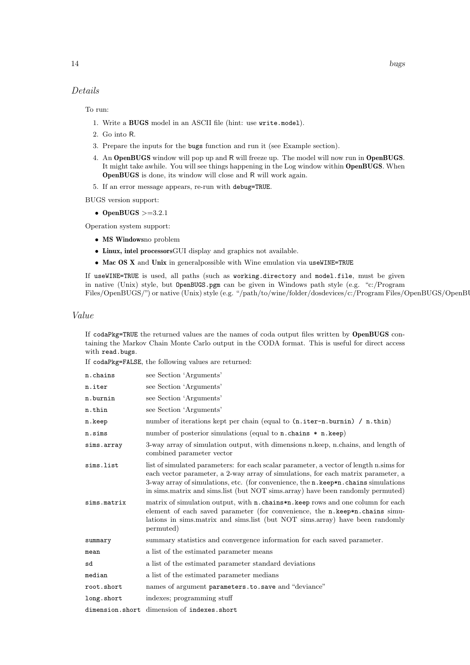### Details

To run:

- 1. Write a BUGS model in an ASCII file (hint: use write.model).
- 2. Go into R.
- 3. Prepare the inputs for the bugs function and run it (see Example section).
- 4. An OpenBUGS window will pop up and R will freeze up. The model will now run in OpenBUGS. It might take awhile. You will see things happening in the Log window within OpenBUGS. When OpenBUGS is done, its window will close and R will work again.
- 5. If an error message appears, re-run with debug=TRUE.

BUGS version support:

• OpenBUGS  $>=3.2.1$ 

Operation system support:

- MS Windowsno problem
- Linux, intel processorsGUI display and graphics not available.
- Mac OS X and Unix in generalpossible with Wine emulation via useWINE=TRUE

If useWINE=TRUE is used, all paths (such as working.directory and model.file, must be given in native (Unix) style, but OpenBUGS.pgm can be given in Windows path style (e.g. "c:/Program Files/OpenBUGS/") or native (Unix) style (e.g. "/path/to/wine/folder/dosdevices/c:/Program Files/OpenBUGS/OpenBU

#### Value

If codaPkg=TRUE the returned values are the names of coda output files written by OpenBUGS containing the Markov Chain Monte Carlo output in the CODA format. This is useful for direct access with read.bugs.

If codaPkg=FALSE, the following values are returned:

| n.chains    | see Section 'Arguments'                                                                                                                                                                                                                                                                                                                                  |
|-------------|----------------------------------------------------------------------------------------------------------------------------------------------------------------------------------------------------------------------------------------------------------------------------------------------------------------------------------------------------------|
| n.iter      | see Section 'Arguments'                                                                                                                                                                                                                                                                                                                                  |
| n.burnin    | see Section 'Arguments'                                                                                                                                                                                                                                                                                                                                  |
| n.thin      | see Section 'Arguments'                                                                                                                                                                                                                                                                                                                                  |
| n.keep      | number of iterations kept per chain (equal to $(n.iter-n.burnin) / n.thin)$ )                                                                                                                                                                                                                                                                            |
| n.sims      | number of posterior simulations (equal to n.chains * n.keep)                                                                                                                                                                                                                                                                                             |
| sims.array  | 3-way array of simulation output, with dimensions n.keep, n.chains, and length of<br>combined parameter vector                                                                                                                                                                                                                                           |
| sims.list   | list of simulated parameters: for each scalar parameter, a vector of length n sims for<br>each vector parameter, a 2-way array of simulations, for each matrix parameter, a<br>3-way array of simulations, etc. (for convenience, the n. keep*n. chains simulations<br>in sims. matrix and sims. list (but NOT sims. array) have been randomly permuted) |
| sims.matrix | matrix of simulation output, with <b>n</b> . chains*n. keep rows and one column for each<br>element of each saved parameter (for convenience, the n.keep*n.chains simu-<br>lations in sims. matrix and sims. list (but NOT sims. array) have been randomly<br>permuted)                                                                                  |
| summary     | summary statistics and convergence information for each saved parameter.                                                                                                                                                                                                                                                                                 |
| mean        | a list of the estimated parameter means                                                                                                                                                                                                                                                                                                                  |
| sd          | a list of the estimated parameter standard deviations                                                                                                                                                                                                                                                                                                    |
| median      | a list of the estimated parameter medians                                                                                                                                                                                                                                                                                                                |
| root.short  | names of argument parameters.to.save and "deviance"                                                                                                                                                                                                                                                                                                      |
| long.short  | indexes; programming stuff                                                                                                                                                                                                                                                                                                                               |
|             | dimension.short dimension of indexes.short                                                                                                                                                                                                                                                                                                               |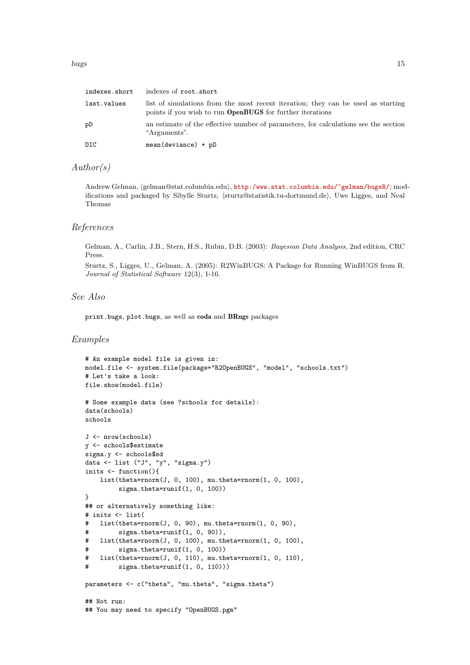| indexes.short | indexes of root.short                                                                                                                                |
|---------------|------------------------------------------------------------------------------------------------------------------------------------------------------|
| last.values   | list of simulations from the most recent iteration; they can be used as starting<br>points if you wish to run <b>OpenBUGS</b> for further iterations |
| pD            | an estimate of the effective number of parameters, for calculations see the section<br>"Arguments".                                                  |
| DIC.          | $mean(deviance) + pD$                                                                                                                                |

### $Author(s)$

Andrew Gelman, (gelman@stat.columbia.edu), <http:/www.stat.columbia.edu/~gelman/bugsR/>; modifications and packaged by Sibylle Sturtz,  $\frac{\text{sturtz@statistik.tu-dortmund.de}}{\text{dortmund.de}}}$ , Uwe Ligges, and Neal Thomas

#### References

Gelman, A., Carlin, J.B., Stern, H.S., Rubin, D.B. (2003): Bayesian Data Analysis, 2nd edition, CRC Press.

Sturtz, S., Ligges, U., Gelman, A. (2005): R2WinBUGS: A Package for Running WinBUGS from R. Journal of Statistical Software 12(3), 1-16.

### See Also

print.bugs, plot.bugs, as well as coda and BRugs packages

#### Examples

```
# An example model file is given in:
model.file <- system.file(package="R2OpenBUGS", "model", "schools.txt")
# Let's take a look:
file.show(model.file)
# Some example data (see ?schools for details):
data(schools)
schools
J <- nrow(schools)
y <- schools$estimate
sigma.y <- schools$sd
data <- list ("J", "y", "sigma.y")
inits <- function(){
   list(theta=rnorm(J, 0, 100), mu.theta=rnorm(1, 0, 100),
        sigma.theta=runif(1, 0, 100))
}
## or alternatively something like:
# inits <- list(
   list(theta=rrnorm(J, 0, 90), mu.theta=rrnorm(1, 0, 90),# sigma.theta=runif(1, 0, 90)),
# list(theta=rnorm(J, 0, 100), mu.theta=rnorm(1, 0, 100),
# sigma.theta=runif(1, 0, 100))
# list(theta=rnorm(J, 0, 110), mu.theta=rnorm(1, 0, 110),
# sigma.theta=runif(1, 0, 110)))
parameters <- c("theta", "mu.theta", "sigma.theta")
## Not run:
## You may need to specify "OpenBUGS.pgm"
```